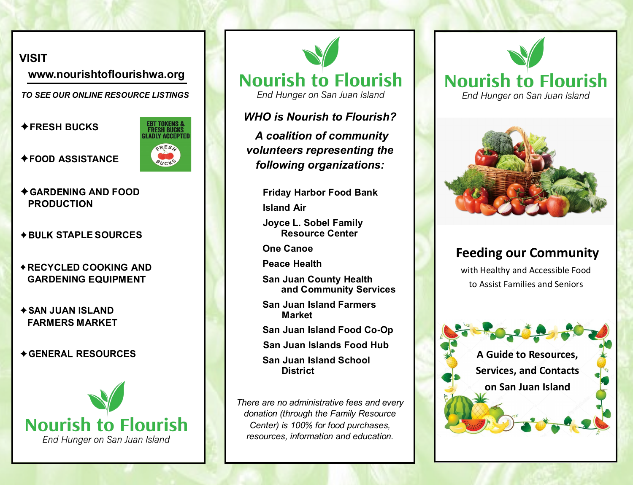## **VISIT**

**[www.nourishtoflourishwa.org](http://www.nourishtoflourish.wa.org)** 

 *TO SEE OUR ONLINE RESOURCE LISTINGS*

 **FRESH BUCKS** 

 $\triangle$ **FOOD ASSISTANCE** 



- $\triangle$  **GARDENING AND FOOD PRODUCTION**
- **STAPLE SOURCES**
- **RECYCLED COOKING AND GARDENING EQUIPMENT**
- **JUAN ISLAND FARMERS MARKET**
- $\triangle$  **GENERAL RESOURCES**



**Nourish to Flourish** 

End Hunger on San Juan Island

## *WHO is Nourish to Flourish?*

*A coalition of community volunteers representing the following organizations:*

> **Friday Harbor Food Bank Island Air**

**Joyce L. Sobel Family Resource Center** 

**One Canoe** 

**Peace Health** 

- **and Community Services San Juan County Health**
- **San Juan Island Farmers Market**
- **San Juan Island Food Co-Op**
- **San Juan Islands Food Hub**

**District San Juan Island School** 

*There are no administrative fees and every donation (through the Family Resource Center) is 100% for food purchases, resources, information and education.*





## **Feeding our Community**

with Healthy and Accessible Food to Assist Families and Seniors